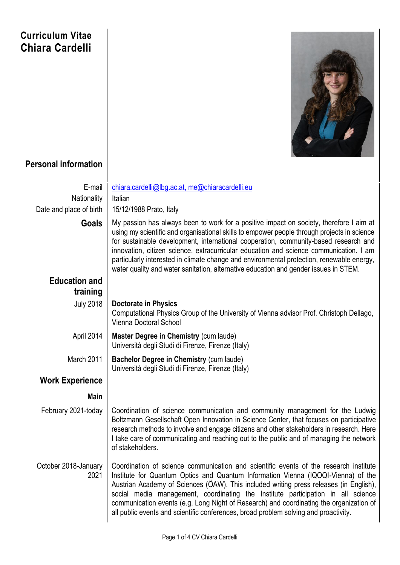## **Curriculum Vitae Chiara Cardelli**



## **Personal information**

| E-mail                       | chiara.cardelli@lbg.ac.at, me@chiaracardelli.eu                                                                                                                                                                                                                                                                                                                                                                                                                                                                                                               |
|------------------------------|---------------------------------------------------------------------------------------------------------------------------------------------------------------------------------------------------------------------------------------------------------------------------------------------------------------------------------------------------------------------------------------------------------------------------------------------------------------------------------------------------------------------------------------------------------------|
| Nationality                  | Italian                                                                                                                                                                                                                                                                                                                                                                                                                                                                                                                                                       |
| Date and place of birth      | 15/12/1988 Prato, Italy                                                                                                                                                                                                                                                                                                                                                                                                                                                                                                                                       |
| <b>Goals</b>                 | My passion has always been to work for a positive impact on society, therefore I aim at<br>using my scientific and organisational skills to empower people through projects in science<br>for sustainable development, international cooperation, community-based research and<br>innovation, citizen science, extracurricular education and science communication. I am<br>particularly interested in climate change and environmental protection, renewable energy,<br>water quality and water sanitation, alternative education and gender issues in STEM. |
| <b>Education and</b>         |                                                                                                                                                                                                                                                                                                                                                                                                                                                                                                                                                               |
| training                     |                                                                                                                                                                                                                                                                                                                                                                                                                                                                                                                                                               |
| <b>July 2018</b>             | <b>Doctorate in Physics</b><br>Computational Physics Group of the University of Vienna advisor Prof. Christoph Dellago,<br>Vienna Doctoral School                                                                                                                                                                                                                                                                                                                                                                                                             |
| April 2014                   | Master Degree in Chemistry (cum laude)<br>Università degli Studi di Firenze, Firenze (Italy)                                                                                                                                                                                                                                                                                                                                                                                                                                                                  |
| March 2011                   | Bachelor Degree in Chemistry (cum laude)<br>Università degli Studi di Firenze, Firenze (Italy)                                                                                                                                                                                                                                                                                                                                                                                                                                                                |
| <b>Work Experience</b>       |                                                                                                                                                                                                                                                                                                                                                                                                                                                                                                                                                               |
| <b>Main</b>                  |                                                                                                                                                                                                                                                                                                                                                                                                                                                                                                                                                               |
| February 2021-today          | Coordination of science communication and community management for the Ludwig<br>Boltzmann Gesellschaft Open Innovation in Science Center, that focuses on participative<br>research methods to involve and engage citizens and other stakeholders in research. Here<br>I take care of communicating and reaching out to the public and of managing the network<br>of stakeholders.                                                                                                                                                                           |
| October 2018-January<br>2021 | Coordination of science communication and scientific events of the research institute<br>Institute for Quantum Optics and Quantum Information Vienna (IQOQI-Vienna) of the<br>Austrian Academy of Sciences (OAW). This included writing press releases (in English),<br>social media management, coordinating the Institute participation in all science<br>communication events (e.g. Long Night of Research) and coordinating the organization of<br>all public events and scientific conferences, broad problem solving and proactivity.                   |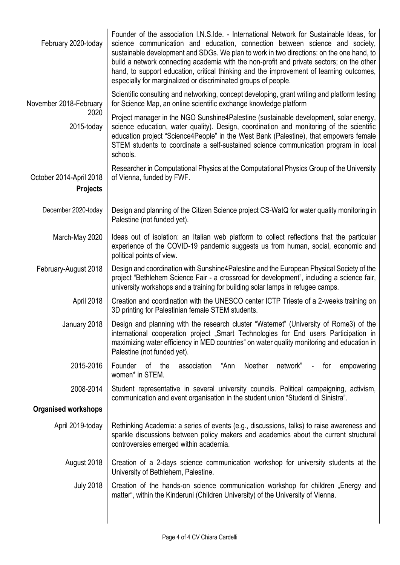| February 2020-today                        | Founder of the association I.N.S.Ide. - International Network for Sustainable Ideas, for<br>science communication and education, connection between science and society,<br>sustainable development and SDGs. We plan to work in two directions: on the one hand, to<br>build a network connecting academia with the non-profit and private sectors; on the other<br>hand, to support education, critical thinking and the improvement of learning outcomes,<br>especially for marginalized or discriminated groups of people. |
|--------------------------------------------|--------------------------------------------------------------------------------------------------------------------------------------------------------------------------------------------------------------------------------------------------------------------------------------------------------------------------------------------------------------------------------------------------------------------------------------------------------------------------------------------------------------------------------|
| November 2018-February                     | Scientific consulting and networking, concept developing, grant writing and platform testing<br>for Science Map, an online scientific exchange knowledge platform                                                                                                                                                                                                                                                                                                                                                              |
| 2020<br>2015-today                         | Project manager in the NGO Sunshine4Palestine (sustainable development, solar energy,<br>science education, water quality). Design, coordination and monitoring of the scientific<br>education project "Science4People" in the West Bank (Palestine), that empowers female<br>STEM students to coordinate a self-sustained science communication program in local<br>schools.                                                                                                                                                  |
| October 2014-April 2018<br><b>Projects</b> | Researcher in Computational Physics at the Computational Physics Group of the University<br>of Vienna, funded by FWF.                                                                                                                                                                                                                                                                                                                                                                                                          |
| December 2020-today                        | Design and planning of the Citizen Science project CS-WatQ for water quality monitoring in<br>Palestine (not funded yet).                                                                                                                                                                                                                                                                                                                                                                                                      |
| March-May 2020                             | Ideas out of isolation: an Italian web platform to collect reflections that the particular<br>experience of the COVID-19 pandemic suggests us from human, social, economic and<br>political points of view.                                                                                                                                                                                                                                                                                                                    |
| February-August 2018                       | Design and coordination with Sunshine4Palestine and the European Physical Society of the<br>project "Bethlehem Science Fair - a crossroad for development", including a science fair,<br>university workshops and a training for building solar lamps in refugee camps.                                                                                                                                                                                                                                                        |
| April 2018                                 | Creation and coordination with the UNESCO center ICTP Trieste of a 2-weeks training on<br>3D printing for Palestinian female STEM students.                                                                                                                                                                                                                                                                                                                                                                                    |
| January 2018                               | Design and planning with the research cluster "Waternet" (University of Rome3) of the<br>international cooperation project "Smart Technologies for End users Participation in<br>maximizing water efficiency in MED countries" on water quality monitoring and education in<br>Palestine (not funded yet).                                                                                                                                                                                                                     |
| 2015-2016                                  | Noether<br>network"<br>Founder of the<br>"Ann<br>empowering<br>association<br>for<br>$\sim 10^4$<br>women* in STEM.                                                                                                                                                                                                                                                                                                                                                                                                            |
| 2008-2014                                  | Student representative in several university councils. Political campaigning, activism,<br>communication and event organisation in the student union "Studenti di Sinistra".                                                                                                                                                                                                                                                                                                                                                   |
| <b>Organised workshops</b>                 |                                                                                                                                                                                                                                                                                                                                                                                                                                                                                                                                |
| April 2019-today                           | Rethinking Academia: a series of events (e.g., discussions, talks) to raise awareness and<br>sparkle discussions between policy makers and academics about the current structural<br>controversies emerged within academia.                                                                                                                                                                                                                                                                                                    |
| August 2018                                | Creation of a 2-days science communication workshop for university students at the<br>University of Bethlehem, Palestine.                                                                                                                                                                                                                                                                                                                                                                                                      |
| <b>July 2018</b>                           | Creation of the hands-on science communication workshop for children "Energy and<br>matter", within the Kinderuni (Children University) of the University of Vienna.                                                                                                                                                                                                                                                                                                                                                           |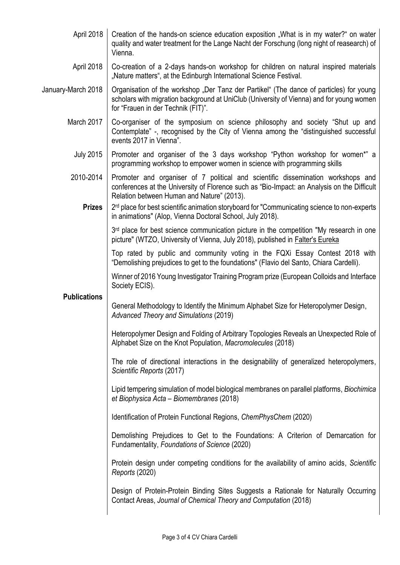| April 2018          | Creation of the hands-on science education exposition "What is in my water?" on water<br>quality and water treatment for the Lange Nacht der Forschung (long night of reasearch) of<br>Vienna.                                |
|---------------------|-------------------------------------------------------------------------------------------------------------------------------------------------------------------------------------------------------------------------------|
| April 2018          | Co-creation of a 2-days hands-on workshop for children on natural inspired materials<br>"Nature matters", at the Edinburgh International Science Festival.                                                                    |
| January-March 2018  | Organisation of the workshop "Der Tanz der Partikel" (The dance of particles) for young<br>scholars with migration background at UniClub (University of Vienna) and for young women<br>for "Frauen in der Technik (FIT)".     |
| March 2017          | Co-organiser of the symposium on science philosophy and society "Shut up and<br>Contemplate" -, recognised by the City of Vienna among the "distinguished successful<br>events 2017 in Vienna".                               |
| <b>July 2015</b>    | Promoter and organiser of the 3 days workshop "Python workshop for women*" a<br>programming workshop to empower women in science with programming skills                                                                      |
| 2010-2014           | Promoter and organiser of 7 political and scientific dissemination workshops and<br>conferences at the University of Florence such as "Bio-Impact: an Analysis on the Difficult<br>Relation between Human and Nature" (2013). |
| <b>Prizes</b>       | 2 <sup>rd</sup> place for best scientific animation storyboard for "Communicating science to non-experts<br>in animations" (Alop, Vienna Doctoral School, July 2018).                                                         |
|                     | $3rd$ place for best science communication picture in the competition "My research in one<br>picture" (WTZO, University of Vienna, July 2018), published in <b>Falter's Eureka</b>                                            |
|                     | Top rated by public and community voting in the FQXi Essay Contest 2018 with<br>"Demolishing prejudices to get to the foundations" (Flavio del Santo, Chiara Cardelli).                                                       |
| <b>Publications</b> | Winner of 2016 Young Investigator Training Program prize (European Colloids and Interface<br>Society ECIS).                                                                                                                   |
|                     | General Methodology to Identify the Minimum Alphabet Size for Heteropolymer Design,<br>Advanced Theory and Simulations (2019)                                                                                                 |
|                     | Heteropolymer Design and Folding of Arbitrary Topologies Reveals an Unexpected Role of<br>Alphabet Size on the Knot Population, Macromolecules (2018)                                                                         |
|                     | The role of directional interactions in the designability of generalized heteropolymers,<br>Scientific Reports (2017)                                                                                                         |
|                     | Lipid tempering simulation of model biological membranes on parallel platforms, <i>Biochimica</i><br>et Biophysica Acta – Biomembranes (2018)                                                                                 |
|                     | Identification of Protein Functional Regions, ChemPhysChem (2020)                                                                                                                                                             |
|                     | Demolishing Prejudices to Get to the Foundations: A Criterion of Demarcation for<br>Fundamentality, Foundations of Science (2020)                                                                                             |
|                     | Protein design under competing conditions for the availability of amino acids, Scientific<br>Reports (2020)                                                                                                                   |
|                     | Design of Protein-Protein Binding Sites Suggests a Rationale for Naturally Occurring<br>Contact Areas, Journal of Chemical Theory and Computation (2018)                                                                      |